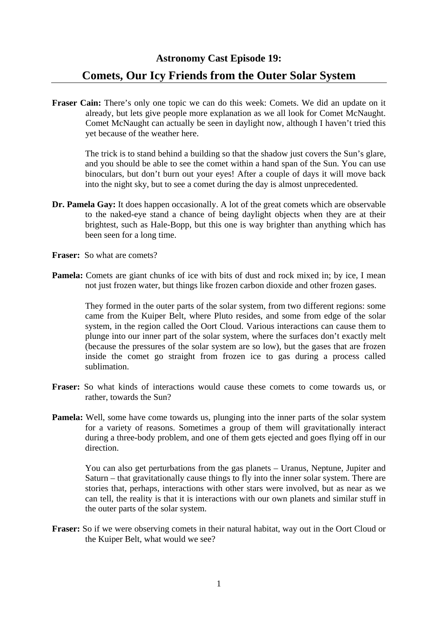**Astronomy Cast Episode 19: Comets, Our Icy Friends from the Outer Solar System** 

**Fraser Cain:** There's only one topic we can do this week: Comets. We did an update on it already, but lets give people more explanation as we all look for Comet McNaught. Comet McNaught can actually be seen in daylight now, although I haven't tried this yet because of the weather here.

The trick is to stand behind a building so that the shadow just covers the Sun's glare, and you should be able to see the comet within a hand span of the Sun. You can use binoculars, but don't burn out your eyes! After a couple of days it will move back into the night sky, but to see a comet during the day is almost unprecedented.

- **Dr. Pamela Gay:** It does happen occasionally. A lot of the great comets which are observable to the naked-eye stand a chance of being daylight objects when they are at their brightest, such as Hale-Bopp, but this one is way brighter than anything which has been seen for a long time.
- **Fraser:** So what are comets?
- **Pamela:** Comets are giant chunks of ice with bits of dust and rock mixed in; by ice, I mean not just frozen water, but things like frozen carbon dioxide and other frozen gases.

 They formed in the outer parts of the solar system, from two different regions: some came from the Kuiper Belt, where Pluto resides, and some from edge of the solar system, in the region called the Oort Cloud. Various interactions can cause them to plunge into our inner part of the solar system, where the surfaces don't exactly melt (because the pressures of the solar system are so low), but the gases that are frozen inside the comet go straight from frozen ice to gas during a process called sublimation.

- **Fraser:** So what kinds of interactions would cause these comets to come towards us, or rather, towards the Sun?
- **Pamela:** Well, some have come towards us, plunging into the inner parts of the solar system for a variety of reasons. Sometimes a group of them will gravitationally interact during a three-body problem, and one of them gets ejected and goes flying off in our direction.

 You can also get perturbations from the gas planets – Uranus, Neptune, Jupiter and Saturn – that gravitationally cause things to fly into the inner solar system. There are stories that, perhaps, interactions with other stars were involved, but as near as we can tell, the reality is that it is interactions with our own planets and similar stuff in the outer parts of the solar system.

**Fraser:** So if we were observing comets in their natural habitat, way out in the Oort Cloud or the Kuiper Belt, what would we see?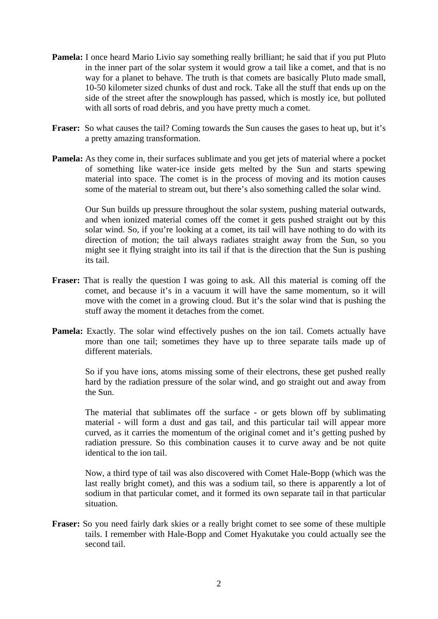- **Pamela:** I once heard Mario Livio say something really brilliant; he said that if you put Pluto in the inner part of the solar system it would grow a tail like a comet, and that is no way for a planet to behave. The truth is that comets are basically Pluto made small, 10-50 kilometer sized chunks of dust and rock. Take all the stuff that ends up on the side of the street after the snowplough has passed, which is mostly ice, but polluted with all sorts of road debris, and you have pretty much a comet.
- **Fraser:** So what causes the tail? Coming towards the Sun causes the gases to heat up, but it's a pretty amazing transformation.
- **Pamela:** As they come in, their surfaces sublimate and you get jets of material where a pocket of something like water-ice inside gets melted by the Sun and starts spewing material into space. The comet is in the process of moving and its motion causes some of the material to stream out, but there's also something called the solar wind.

 Our Sun builds up pressure throughout the solar system, pushing material outwards, and when ionized material comes off the comet it gets pushed straight out by this solar wind. So, if you're looking at a comet, its tail will have nothing to do with its direction of motion; the tail always radiates straight away from the Sun, so you might see it flying straight into its tail if that is the direction that the Sun is pushing its tail.

- **Fraser:** That is really the question I was going to ask. All this material is coming off the comet, and because it's in a vacuum it will have the same momentum, so it will move with the comet in a growing cloud. But it's the solar wind that is pushing the stuff away the moment it detaches from the comet.
- **Pamela:** Exactly. The solar wind effectively pushes on the ion tail. Comets actually have more than one tail; sometimes they have up to three separate tails made up of different materials.

So if you have ions, atoms missing some of their electrons, these get pushed really hard by the radiation pressure of the solar wind, and go straight out and away from the Sun.

 The material that sublimates off the surface - or gets blown off by sublimating material - will form a dust and gas tail, and this particular tail will appear more curved, as it carries the momentum of the original comet and it's getting pushed by radiation pressure. So this combination causes it to curve away and be not quite identical to the ion tail.

 Now, a third type of tail was also discovered with Comet Hale-Bopp (which was the last really bright comet), and this was a sodium tail, so there is apparently a lot of sodium in that particular comet, and it formed its own separate tail in that particular situation.

**Fraser:** So you need fairly dark skies or a really bright comet to see some of these multiple tails. I remember with Hale-Bopp and Comet Hyakutake you could actually see the second tail.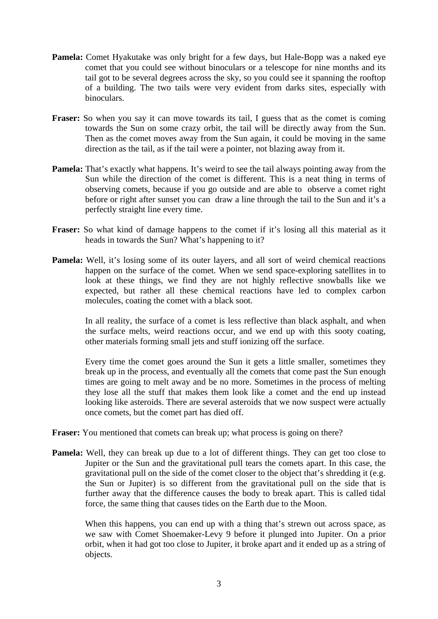- **Pamela:** Comet Hyakutake was only bright for a few days, but Hale-Bopp was a naked eye comet that you could see without binoculars or a telescope for nine months and its tail got to be several degrees across the sky, so you could see it spanning the rooftop of a building. The two tails were very evident from darks sites, especially with binoculars.
- Fraser: So when you say it can move towards its tail, I guess that as the comet is coming towards the Sun on some crazy orbit, the tail will be directly away from the Sun. Then as the comet moves away from the Sun again, it could be moving in the same direction as the tail, as if the tail were a pointer, not blazing away from it.
- **Pamela:** That's exactly what happens. It's weird to see the tail always pointing away from the Sun while the direction of the comet is different. This is a neat thing in terms of observing comets, because if you go outside and are able to observe a comet right before or right after sunset you can draw a line through the tail to the Sun and it's a perfectly straight line every time.
- **Fraser:** So what kind of damage happens to the comet if it's losing all this material as it heads in towards the Sun? What's happening to it?
- **Pamela:** Well, it's losing some of its outer layers, and all sort of weird chemical reactions happen on the surface of the comet. When we send space-exploring satellites in to look at these things, we find they are not highly reflective snowballs like we expected, but rather all these chemical reactions have led to complex carbon molecules, coating the comet with a black soot.

In all reality, the surface of a comet is less reflective than black asphalt, and when the surface melts, weird reactions occur, and we end up with this sooty coating, other materials forming small jets and stuff ionizing off the surface.

 Every time the comet goes around the Sun it gets a little smaller, sometimes they break up in the process, and eventually all the comets that come past the Sun enough times are going to melt away and be no more. Sometimes in the process of melting they lose all the stuff that makes them look like a comet and the end up instead looking like asteroids. There are several asteroids that we now suspect were actually once comets, but the comet part has died off.

- **Fraser:** You mentioned that comets can break up; what process is going on there?
- **Pamela:** Well, they can break up due to a lot of different things. They can get too close to Jupiter or the Sun and the gravitational pull tears the comets apart. In this case, the gravitational pull on the side of the comet closer to the object that's shredding it (e.g. the Sun or Jupiter) is so different from the gravitational pull on the side that is further away that the difference causes the body to break apart. This is called tidal force, the same thing that causes tides on the Earth due to the Moon.

When this happens, you can end up with a thing that's strewn out across space, as we saw with Comet Shoemaker-Levy 9 before it plunged into Jupiter. On a prior orbit, when it had got too close to Jupiter, it broke apart and it ended up as a string of objects.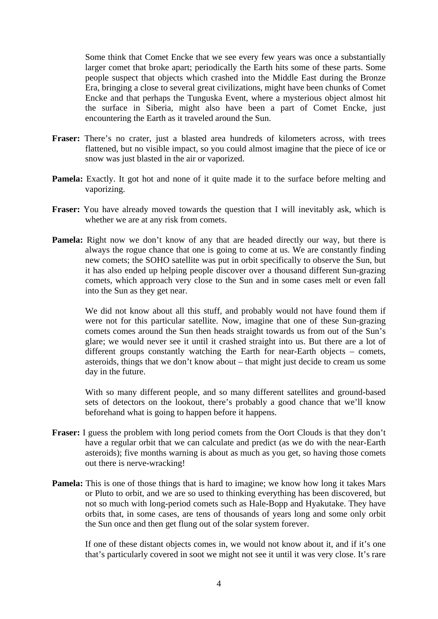Some think that Comet Encke that we see every few years was once a substantially larger comet that broke apart; periodically the Earth hits some of these parts. Some people suspect that objects which crashed into the Middle East during the Bronze Era, bringing a close to several great civilizations, might have been chunks of Comet Encke and that perhaps the Tunguska Event, where a mysterious object almost hit the surface in Siberia, might also have been a part of Comet Encke, just encountering the Earth as it traveled around the Sun.

- **Fraser:** There's no crater, just a blasted area hundreds of kilometers across, with trees flattened, but no visible impact, so you could almost imagine that the piece of ice or snow was just blasted in the air or vaporized.
- **Pamela:** Exactly. It got hot and none of it quite made it to the surface before melting and vaporizing.
- **Fraser:** You have already moved towards the question that I will inevitably ask, which is whether we are at any risk from comets.
- **Pamela:** Right now we don't know of any that are headed directly our way, but there is always the rogue chance that one is going to come at us. We are constantly finding new comets; the SOHO satellite was put in orbit specifically to observe the Sun, but it has also ended up helping people discover over a thousand different Sun-grazing comets, which approach very close to the Sun and in some cases melt or even fall into the Sun as they get near.

 We did not know about all this stuff, and probably would not have found them if were not for this particular satellite. Now, imagine that one of these Sun-grazing comets comes around the Sun then heads straight towards us from out of the Sun's glare; we would never see it until it crashed straight into us. But there are a lot of different groups constantly watching the Earth for near-Earth objects – comets, asteroids, things that we don't know about – that might just decide to cream us some day in the future.

 With so many different people, and so many different satellites and ground-based sets of detectors on the lookout, there's probably a good chance that we'll know beforehand what is going to happen before it happens.

- **Fraser:** I guess the problem with long period comets from the Oort Clouds is that they don't have a regular orbit that we can calculate and predict (as we do with the near-Earth asteroids); five months warning is about as much as you get, so having those comets out there is nerve-wracking!
- **Pamela:** This is one of those things that is hard to imagine; we know how long it takes Mars or Pluto to orbit, and we are so used to thinking everything has been discovered, but not so much with long-period comets such as Hale-Bopp and Hyakutake. They have orbits that, in some cases, are tens of thousands of years long and some only orbit the Sun once and then get flung out of the solar system forever.

 If one of these distant objects comes in, we would not know about it, and if it's one that's particularly covered in soot we might not see it until it was very close. It's rare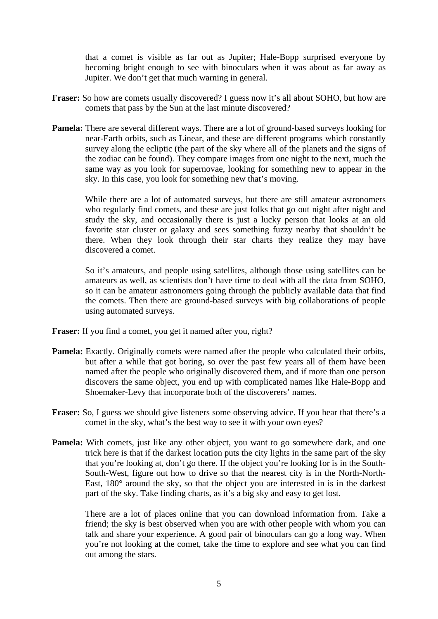that a comet is visible as far out as Jupiter; Hale-Bopp surprised everyone by becoming bright enough to see with binoculars when it was about as far away as Jupiter. We don't get that much warning in general.

- **Fraser:** So how are comets usually discovered? I guess now it's all about SOHO, but how are comets that pass by the Sun at the last minute discovered?
- **Pamela:** There are several different ways. There are a lot of ground-based surveys looking for near-Earth orbits, such as Linear, and these are different programs which constantly survey along the ecliptic (the part of the sky where all of the planets and the signs of the zodiac can be found). They compare images from one night to the next, much the same way as you look for supernovae, looking for something new to appear in the sky. In this case, you look for something new that's moving.

 While there are a lot of automated surveys, but there are still amateur astronomers who regularly find comets, and these are just folks that go out night after night and study the sky, and occasionally there is just a lucky person that looks at an old favorite star cluster or galaxy and sees something fuzzy nearby that shouldn't be there. When they look through their star charts they realize they may have discovered a comet.

 So it's amateurs, and people using satellites, although those using satellites can be amateurs as well, as scientists don't have time to deal with all the data from SOHO, so it can be amateur astronomers going through the publicly available data that find the comets. Then there are ground-based surveys with big collaborations of people using automated surveys.

- **Fraser:** If you find a comet, you get it named after you, right?
- **Pamela:** Exactly. Originally comets were named after the people who calculated their orbits, but after a while that got boring, so over the past few years all of them have been named after the people who originally discovered them, and if more than one person discovers the same object, you end up with complicated names like Hale-Bopp and Shoemaker-Levy that incorporate both of the discoverers' names.
- **Fraser:** So, I guess we should give listeners some observing advice. If you hear that there's a comet in the sky, what's the best way to see it with your own eyes?
- **Pamela:** With comets, just like any other object, you want to go somewhere dark, and one trick here is that if the darkest location puts the city lights in the same part of the sky that you're looking at, don't go there. If the object you're looking for is in the South-South-West, figure out how to drive so that the nearest city is in the North-North-East, 180° around the sky, so that the object you are interested in is in the darkest part of the sky. Take finding charts, as it's a big sky and easy to get lost.

 There are a lot of places online that you can download information from. Take a friend; the sky is best observed when you are with other people with whom you can talk and share your experience. A good pair of binoculars can go a long way. When you're not looking at the comet, take the time to explore and see what you can find out among the stars.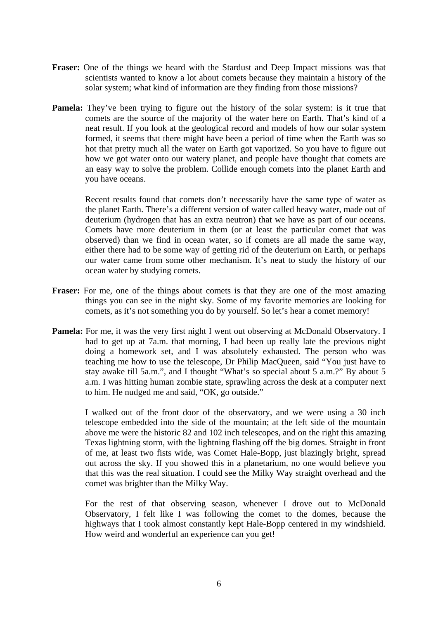- **Fraser:** One of the things we heard with the Stardust and Deep Impact missions was that scientists wanted to know a lot about comets because they maintain a history of the solar system; what kind of information are they finding from those missions?
- **Pamela:** They've been trying to figure out the history of the solar system: is it true that comets are the source of the majority of the water here on Earth. That's kind of a neat result. If you look at the geological record and models of how our solar system formed, it seems that there might have been a period of time when the Earth was so hot that pretty much all the water on Earth got vaporized. So you have to figure out how we got water onto our watery planet, and people have thought that comets are an easy way to solve the problem. Collide enough comets into the planet Earth and you have oceans.

 Recent results found that comets don't necessarily have the same type of water as the planet Earth. There's a different version of water called heavy water, made out of deuterium (hydrogen that has an extra neutron) that we have as part of our oceans. Comets have more deuterium in them (or at least the particular comet that was observed) than we find in ocean water, so if comets are all made the same way, either there had to be some way of getting rid of the deuterium on Earth, or perhaps our water came from some other mechanism. It's neat to study the history of our ocean water by studying comets.

- **Fraser:** For me, one of the things about comets is that they are one of the most amazing things you can see in the night sky. Some of my favorite memories are looking for comets, as it's not something you do by yourself. So let's hear a comet memory!
- **Pamela:** For me, it was the very first night I went out observing at McDonald Observatory. I had to get up at 7a.m. that morning, I had been up really late the previous night doing a homework set, and I was absolutely exhausted. The person who was teaching me how to use the telescope, Dr Philip MacQueen, said "You just have to stay awake till 5a.m.", and I thought "What's so special about 5 a.m.?" By about 5 a.m. I was hitting human zombie state, sprawling across the desk at a computer next to him. He nudged me and said, "OK, go outside."

 I walked out of the front door of the observatory, and we were using a 30 inch telescope embedded into the side of the mountain; at the left side of the mountain above me were the historic 82 and 102 inch telescopes, and on the right this amazing Texas lightning storm, with the lightning flashing off the big domes. Straight in front of me, at least two fists wide, was Comet Hale-Bopp, just blazingly bright, spread out across the sky. If you showed this in a planetarium, no one would believe you that this was the real situation. I could see the Milky Way straight overhead and the comet was brighter than the Milky Way.

 For the rest of that observing season, whenever I drove out to McDonald Observatory, I felt like I was following the comet to the domes, because the highways that I took almost constantly kept Hale-Bopp centered in my windshield. How weird and wonderful an experience can you get!